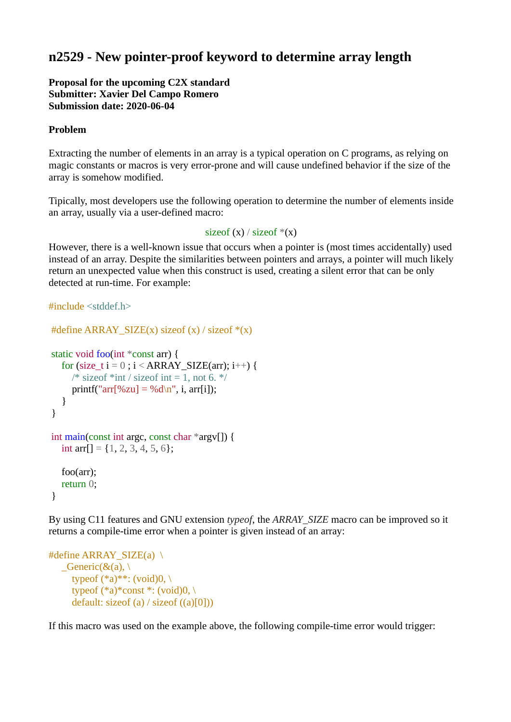# **n2529 - New pointer-proof keyword to determine array length**

**Proposal for the upcoming C2X standard Submitter: Xavier Del Campo Romero Submission date: 2020-06-04**

## **Problem**

Extracting the number of elements in an array is a typical operation on C programs, as relying on magic constants or macros is very error-prone and will cause undefined behavior if the size of the array is somehow modified.

Tipically, most developers use the following operation to determine the number of elements inside an array, usually via a user-defined macro:

#### size of  $(x) /$  size of  $*(x)$

However, there is a well-known issue that occurs when a pointer is (most times accidentally) used instead of an array. Despite the similarities between pointers and arrays, a pointer will much likely return an unexpected value when this construct is used, creating a silent error that can be only detected at run-time. For example:

#include <stddef.h>

```
#define ARRAY_SIZE(x) sizeof (x) / sizeof *(x)static void foo(int *const arr) {
  for (size t i = 0; i < ARRAY SIZE(arr); i^{++}) {
     /* size of *int / size of int = 1, not 6. \overline{z}/
     printf("arr[%zu] = %d\n", i, arr[i]);
   }
}
int main(const int argc, const char *argv[]) {
  int arr[] = \{1, 2, 3, 4, 5, 6\}; foo(arr);
   return 0;
}
```
By using C11 features and GNU extension *typeof*, the *ARRAY\_SIZE* macro can be improved so it returns a compile-time error when a pointer is given instead of an array:

```
#define ARRAY_SIZE(a) \setminus\text{L}Generic(&(a), \
      typeof (*a)**: (void)0, \
      typeof (*a)*const *: (void)0, \
      default: sizeof (a) / sizeof ((a)[0]))
```
If this macro was used on the example above, the following compile-time error would trigger: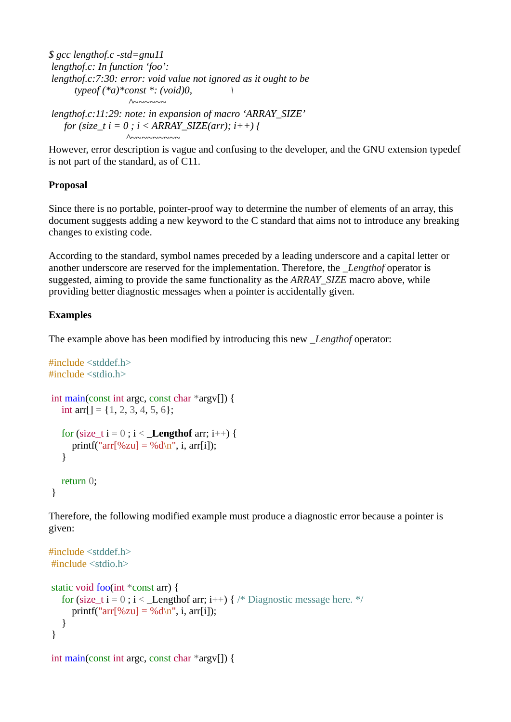*\$ gcc lengthof.c -std=gnu11 lengthof.c: In function 'foo': lengthof.c:7:30: error: void value not ignored as it ought to be typeof (\*a)\*const \*: (void)0, \ ^~~~~~~*

*lengthof.c:11:29: note: in expansion of macro 'ARRAY\_SIZE' for (size\_t i = 0 ; i < ARRAY\_SIZE(arr); i++) { ^~~~~~~~~~*

However, error description is vague and confusing to the developer, and the GNU extension typedef is not part of the standard, as of C11.

## **Proposal**

Since there is no portable, pointer-proof way to determine the number of elements of an array, this document suggests adding a new keyword to the C standard that aims not to introduce any breaking changes to existing code.

According to the standard, symbol names preceded by a leading underscore and a capital letter or another underscore are reserved for the implementation. Therefore, the *\_Lengthof* operator is suggested, aiming to provide the same functionality as the *ARRAY\_SIZE* macro above, while providing better diagnostic messages when a pointer is accidentally given.

## **Examples**

The example above has been modified by introducing this new *\_Lengthof* operator:

```
#include <stddef.h>
#include <stdio.h>
int main(const int argc, const char *argv[]) {
   int arr[] = \{1, 2, 3, 4, 5, 6\};
   for (size_t i = 0; i < Lengthof arr; i++) {
     printf("arr[%zu] = %d\n", i, arr[i]);
    }
    return 0;
}
```
Therefore, the following modified example must produce a diagnostic error because a pointer is given:

```
#include <stddef.h>
#include <stdio.h>
static void foo(int *const arr) {
   for (size t i = 0; i < Lengthof arr; i++) { /* Diagnostic message here. */
     printf("arr[%zu] = %d\n", i, arr[i]);
    }
}
int main(const int argc, const char *argv[]) {
```